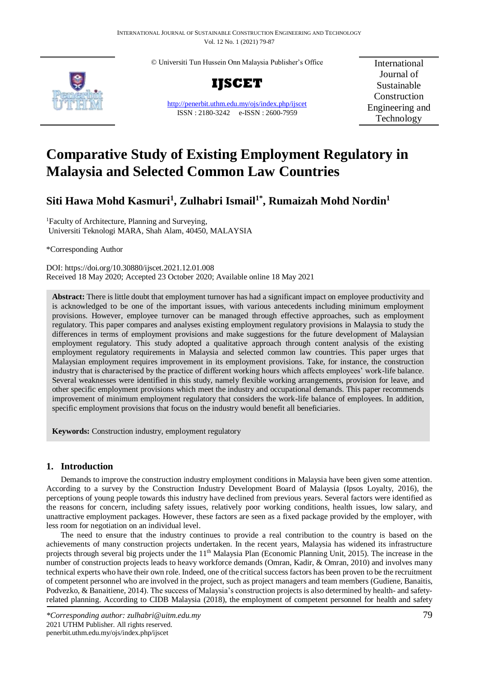© Universiti Tun Hussein Onn Malaysia Publisher's Office



**IJSCET**

<http://penerbit.uthm.edu.my/ojs/index.php/ijscet> ISSN : 2180-3242 e-ISSN : 2600-7959

International Journal of Sustainable Construction Engineering and Technology

# **Comparative Study of Existing Employment Regulatory in Malaysia and Selected Common Law Countries**

## **Siti Hawa Mohd Kasmuri<sup>1</sup> , Zulhabri Ismail1\* , Rumaizah Mohd Nordin<sup>1</sup>**

<sup>1</sup>Faculty of Architecture, Planning and Surveying, Universiti Teknologi MARA, Shah Alam, 40450, MALAYSIA

\*Corresponding Author

DOI: https://doi.org/10.30880/ijscet.2021.12.01.008 Received 18 May 2020; Accepted 23 October 2020; Available online 18 May 2021

**Abstract:** There is little doubt that employment turnover has had a significant impact on employee productivity and is acknowledged to be one of the important issues, with various antecedents including minimum employment provisions. However, employee turnover can be managed through effective approaches, such as employment regulatory. This paper compares and analyses existing employment regulatory provisions in Malaysia to study the differences in terms of employment provisions and make suggestions for the future development of Malaysian employment regulatory. This study adopted a qualitative approach through content analysis of the existing employment regulatory requirements in Malaysia and selected common law countries. This paper urges that Malaysian employment requires improvement in its employment provisions. Take, for instance, the construction industry that is characterised by the practice of different working hours which affects employees' work-life balance. Several weaknesses were identified in this study, namely flexible working arrangements, provision for leave, and other specific employment provisions which meet the industry and occupational demands. This paper recommends improvement of minimum employment regulatory that considers the work-life balance of employees. In addition, specific employment provisions that focus on the industry would benefit all beneficiaries.

**Keywords:** Construction industry, employment regulatory

## **1. Introduction**

Demands to improve the construction industry employment conditions in Malaysia have been given some attention. According to a survey by the Construction Industry Development Board of Malaysia (Ipsos Loyalty, 2016), the perceptions of young people towards this industry have declined from previous years. Several factors were identified as the reasons for concern, including safety issues, relatively poor working conditions, health issues, low salary, and unattractive employment packages. However, these factors are seen as a fixed package provided by the employer, with less room for negotiation on an individual level.

The need to ensure that the industry continues to provide a real contribution to the country is based on the achievements of many construction projects undertaken. In the recent years, Malaysia has widened its infrastructure projects through several big projects under the 11<sup>th</sup> Malaysia Plan (Economic Planning Unit, 2015). The increase in the number of construction projects leads to heavy workforce demands (Omran, Kadir, & Omran, 2010) and involves many technical experts who have their own role. Indeed, one of the critical success factors has been proven to be the recruitment of competent personnel who are involved in the project, such as project managers and team members (Gudiene, Banaitis, Podvezko, & Banaitiene, 2014). The success of Malaysia's construction projects is also determined by health- and safetyrelated planning. According to CIDB Malaysia (2018), the employment of competent personnel for health and safety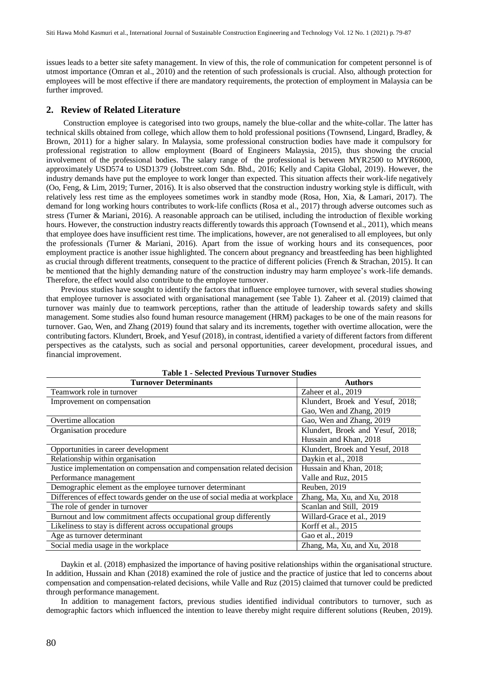issues leads to a better site safety management. In view of this, the role of communication for competent personnel is of utmost importance (Omran et al., 2010) and the retention of such professionals is crucial. Also, although protection for employees will be most effective if there are mandatory requirements, the protection of employment in Malaysia can be further improved.

## **2. Review of Related Literature**

Construction employee is categorised into two groups, namely the blue-collar and the white-collar. The latter has technical skills obtained from college, which allow them to hold professional positions (Townsend, Lingard, Bradley, & Brown, 2011) for a higher salary. In Malaysia, some professional construction bodies have made it compulsory for professional registration to allow employment (Board of Engineers Malaysia, 2015), thus showing the crucial involvement of the professional bodies. The salary range of the professional is between MYR2500 to MYR6000, approximately USD574 to USD1379 (Jobstreet.com Sdn. Bhd., 2016; Kelly and Capita Global, 2019). However, the industry demands have put the employee to work longer than expected. This situation affects their work-life negatively (Oo, Feng, & Lim, 2019; Turner, 2016). It is also observed that the construction industry working style is difficult, with relatively less rest time as the employees sometimes work in standby mode (Rosa, Hon, Xia, & Lamari, 2017). The demand for long working hours contributes to work-life conflicts (Rosa et al., 2017) through adverse outcomes such as stress (Turner & Mariani, 2016). A reasonable approach can be utilised, including the introduction of flexible working hours. However, the construction industry reacts differently towards this approach (Townsend et al., 2011), which means that employee does have insufficient rest time. The implications, however, are not generalised to all employees, but only the professionals (Turner & Mariani, 2016). Apart from the issue of working hours and its consequences, poor employment practice is another issue highlighted. The concern about pregnancy and breastfeeding has been highlighted as crucial through different treatments, consequent to the practice of different policies (French & Strachan, 2015). It can be mentioned that the highly demanding nature of the construction industry may harm employee's work-life demands. Therefore, the effect would also contribute to the employee turnover.

Previous studies have sought to identify the factors that influence employee turnover, with several studies showing that employee turnover is associated with organisational management (see [Table 1\)](#page-1-0). Zaheer et al. (2019) claimed that turnover was mainly due to teamwork perceptions, rather than the attitude of leadership towards safety and skills management. Some studies also found human resource management (HRM) packages to be one of the main reasons for turnover. Gao, Wen, and Zhang (2019) found that salary and its increments, together with overtime allocation, were the contributing factors. Klundert, Broek, and Yesuf (2018), in contrast, identified a variety of different factors from different perspectives as the catalysts, such as social and personal opportunities, career development, procedural issues, and financial improvement.

<span id="page-1-0"></span>

| Table 1 - Selected TTevibus Tullibret Studies                                |                                  |  |  |
|------------------------------------------------------------------------------|----------------------------------|--|--|
| <b>Turnover Determinants</b>                                                 | Authors                          |  |  |
| Teamwork role in turnover                                                    | Zaheer et al., 2019              |  |  |
| Improvement on compensation                                                  | Klundert, Broek and Yesuf, 2018; |  |  |
|                                                                              | Gao, Wen and Zhang, 2019         |  |  |
| Overtime allocation                                                          | Gao, Wen and Zhang, 2019         |  |  |
| Organisation procedure                                                       | Klundert, Broek and Yesuf, 2018; |  |  |
|                                                                              | Hussain and Khan, 2018           |  |  |
| Opportunities in career development                                          | Klundert, Broek and Yesuf, 2018  |  |  |
| Relationship within organisation                                             | Daykin et al., 2018              |  |  |
| Justice implementation on compensation and compensation related decision     | Hussain and Khan, 2018;          |  |  |
| Performance management                                                       | Valle and Ruz, 2015              |  |  |
| Demographic element as the employee turnover determinant                     | Reuben, 2019                     |  |  |
| Differences of effect towards gender on the use of social media at workplace | Zhang, Ma, Xu, and Xu, 2018      |  |  |
| The role of gender in turnover                                               | Scanlan and Still, 2019          |  |  |
| Burnout and low commitment affects occupational group differently            | Willard-Grace et al., 2019       |  |  |
| Likeliness to stay is different across occupational groups                   | Korff et al., 2015               |  |  |
| Age as turnover determinant                                                  | Gao et al., 2019                 |  |  |
| Social media usage in the workplace                                          | Zhang, Ma, Xu, and Xu, 2018      |  |  |

**Table 1 - Selected Previous Turnover Studies**

Daykin et al. (2018) emphasized the importance of having positive relationships within the organisational structure. In addition, Hussain and Khan (2018) examined the role of justice and the practice of justice that led to concerns about compensation and compensation-related decisions, while Valle and Ruz (2015) claimed that turnover could be predicted through performance management.

In addition to management factors, previous studies identified individual contributors to turnover, such as demographic factors which influenced the intention to leave thereby might require different solutions (Reuben, 2019).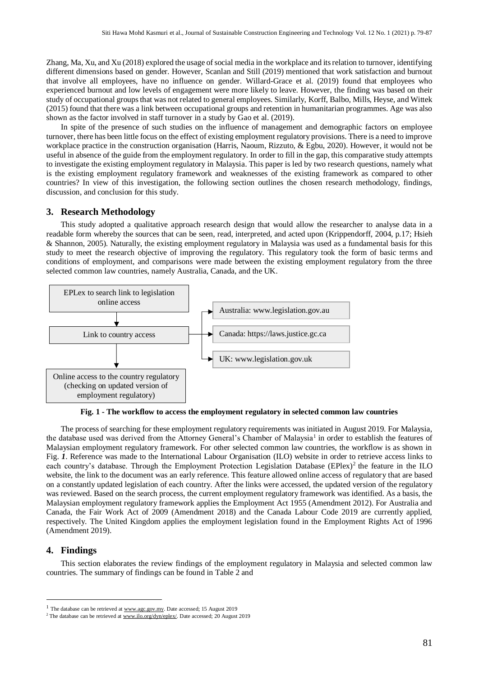Zhang, Ma, Xu, and Xu (2018) explored the usage of social media in the workplace and its relation to turnover, identifying different dimensions based on gender. However, Scanlan and Still (2019) mentioned that work satisfaction and burnout that involve all employees, have no influence on gender. Willard-Grace et al. (2019) found that employees who experienced burnout and low levels of engagement were more likely to leave. However, the finding was based on their study of occupational groups that was not related to general employees. Similarly, Korff, Balbo, Mills, Heyse, and Wittek (2015) found that there was a link between occupational groups and retention in humanitarian programmes. Age was also shown as the factor involved in staff turnover in a study by Gao et al. (2019).

In spite of the presence of such studies on the influence of management and demographic factors on employee turnover, there has been little focus on the effect of existing employment regulatory provisions. There is a need to improve workplace practice in the construction organisation (Harris, Naoum, Rizzuto, & Egbu, 2020). However, it would not be useful in absence of the guide from the employment regulatory. In order to fill in the gap, this comparative study attempts to investigate the existing employment regulatory in Malaysia. This paper is led by two research questions, namely what is the existing employment regulatory framework and weaknesses of the existing framework as compared to other countries? In view of this investigation, the following section outlines the chosen research methodology, findings, discussion, and conclusion for this study.

## **3. Research Methodology**

This study adopted a qualitative approach research design that would allow the researcher to analyse data in a readable form whereby the sources that can be seen, read, interpreted, and acted upon (Krippendorff, 2004, p.17; Hsieh & Shannon, 2005). Naturally, the existing employment regulatory in Malaysia was used as a fundamental basis for this study to meet the research objective of improving the regulatory. This regulatory took the form of basic terms and conditions of employment, and comparisons were made between the existing employment regulatory from the three selected common law countries, namely Australia, Canada, and the UK.



**Fig. 1 - The workflow to access the employment regulatory in selected common law countries**

<span id="page-2-0"></span>The process of searching for these employment regulatory requirements was initiated in August 2019. For Malaysia, the database used was derived from the Attorney General's Chamber of Malaysia<sup>1</sup> in order to establish the features of Malaysian employment regulatory framework. For other selected common law countries, the workflow is as shown in [Fig.](#page-2-0) *1*. Reference was made to the International Labour Organisation (ILO) website in order to retrieve access links to each country's database. Through the Employment Protection Legislation Database (EPlex)<sup>2</sup> the feature in the ILO website, the link to the document was an early reference. This feature allowed online access of regulatory that are based on a constantly updated legislation of each country. After the links were accessed, the updated version of the regulatory was reviewed. Based on the search process, the current employment regulatory framework was identified. As a basis, the Malaysian employment regulatory framework applies the Employment Act 1955 (Amendment 2012). For Australia and Canada, the Fair Work Act of 2009 (Amendment 2018) and the Canada Labour Code 2019 are currently applied, respectively. The United Kingdom applies the employment legislation found in the Employment Rights Act of 1996 (Amendment 2019).

## **4. Findings**

 $\overline{a}$ 

This section elaborates the review findings of the employment regulatory in Malaysia and selected common law countries. The summary of findings can be found i[n Table 2](#page-3-0) and

<sup>&</sup>lt;sup>1</sup> The database can be retrieved at  $\frac{www.age.gov.my.}{www.age.gov.my.}$  Date accessed; 15 August 2019

<sup>&</sup>lt;sup>2</sup> The database can be retrieved a[t www.ilo.org/dyn/eplex/.](http://www.ilo.org/dyn/eplex/) Date accessed; 20 August 2019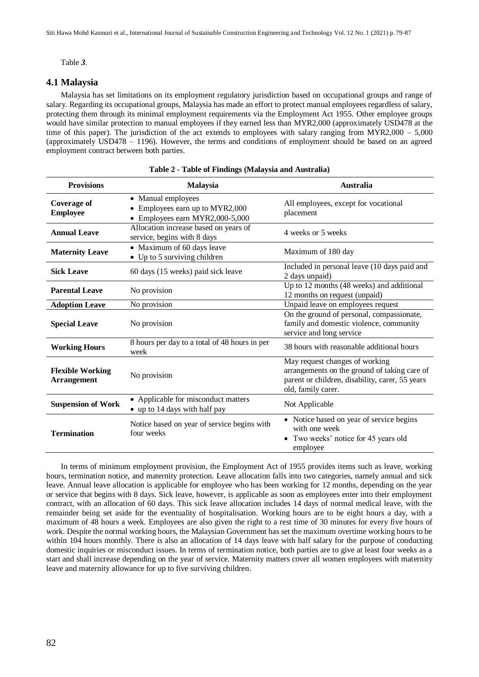[Table](#page-3-1) *3*.

## **4.1 Malaysia**

Malaysia has set limitations on its employment regulatory jurisdiction based on occupational groups and range of salary. Regarding its occupational groups, Malaysia has made an effort to protect manual employees regardless of salary, protecting them through its minimal employment requirements via the Employment Act 1955. Other employee groups would have similar protection to manual employees if they earned less than MYR2,000 (approximately USD478 at the time of this paper). The jurisdiction of the act extends to employees with salary ranging from MYR2,000 – 5,000 (approximately USD478 – 1196). However, the terms and conditions of employment should be based on an agreed employment contract between both parties.

<span id="page-3-0"></span>

| <b>Provisions</b>                             | <b>Malaysia</b>                                                                        | <b>Australia</b>                                                                                                                                        |
|-----------------------------------------------|----------------------------------------------------------------------------------------|---------------------------------------------------------------------------------------------------------------------------------------------------------|
| <b>Coverage of</b><br><b>Employee</b>         | • Manual employees<br>Employees earn up to MYR2,000<br>• Employees earn MYR2,000-5,000 | All employees, except for vocational<br>placement                                                                                                       |
| <b>Annual Leave</b>                           | Allocation increase based on years of<br>service, begins with 8 days                   | 4 weeks or 5 weeks                                                                                                                                      |
| <b>Maternity Leave</b>                        | • Maximum of 60 days leave<br>• Up to 5 surviving children                             | Maximum of 180 day                                                                                                                                      |
| <b>Sick Leave</b>                             | 60 days (15 weeks) paid sick leave                                                     | Included in personal leave (10 days paid and<br>2 days unpaid)                                                                                          |
| <b>Parental Leave</b>                         | No provision                                                                           | Up to 12 months (48 weeks) and additional<br>12 months on request (unpaid)                                                                              |
| <b>Adoption Leave</b>                         | No provision                                                                           | Unpaid leave on employees request                                                                                                                       |
| <b>Special Leave</b>                          | No provision                                                                           | On the ground of personal, compassionate,<br>family and domestic violence, community<br>service and long service                                        |
| <b>Working Hours</b>                          | 8 hours per day to a total of 48 hours in per<br>week                                  | 38 hours with reasonable additional hours                                                                                                               |
| <b>Flexible Working</b><br><b>Arrangement</b> | No provision                                                                           | May request changes of working<br>arrangements on the ground of taking care of<br>parent or children, disability, carer, 55 years<br>old, family carer. |
| <b>Suspension of Work</b>                     | • Applicable for misconduct matters<br>• up to 14 days with half pay                   | Not Applicable                                                                                                                                          |
| <b>Termination</b>                            | Notice based on year of service begins with<br>four weeks                              | • Notice based on year of service begins<br>with one week<br>• Two weeks' notice for 45 years old<br>employee                                           |

<span id="page-3-1"></span>In terms of minimum employment provision, the Employment Act of 1955 provides items such as leave, working hours, termination notice, and maternity protection. Leave allocation falls into two categories, namely annual and sick leave. Annual leave allocation is applicable for employee who has been working for 12 months, depending on the year or service that begins with 8 days. Sick leave, however, is applicable as soon as employees enter into their employment contract, with an allocation of 60 days. This sick leave allocation includes 14 days of normal medical leave, with the remainder being set aside for the eventuality of hospitalisation. Working hours are to be eight hours a day, with a maximum of 48 hours a week. Employees are also given the right to a rest time of 30 minutes for every five hours of work. Despite the normal working hours, the Malaysian Government has set the maximum overtime working hours to be within 104 hours monthly. There is also an allocation of 14 days leave with half salary for the purpose of conducting domestic inquiries or misconduct issues. In terms of termination notice, both parties are to give at least four weeks as a start and shall increase depending on the year of service. Maternity matters cover all women employees with maternity leave and maternity allowance for up to five surviving children.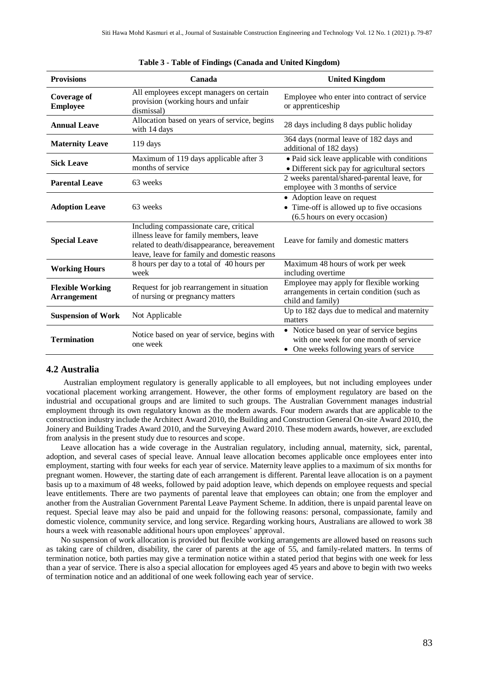| <b>Provisions</b>                             | Canada                                                                                                                                                                           | <b>United Kingdom</b>                                                                                                        |
|-----------------------------------------------|----------------------------------------------------------------------------------------------------------------------------------------------------------------------------------|------------------------------------------------------------------------------------------------------------------------------|
| <b>Coverage of</b><br><b>Employee</b>         | All employees except managers on certain<br>provision (working hours and unfair<br>dismissal)                                                                                    | Employee who enter into contract of service<br>or apprenticeship                                                             |
| <b>Annual Leave</b>                           | Allocation based on years of service, begins<br>with 14 days                                                                                                                     | 28 days including 8 days public holiday                                                                                      |
| <b>Maternity Leave</b>                        | $119 \text{ days}$                                                                                                                                                               | 364 days (normal leave of 182 days and<br>additional of 182 days)                                                            |
| <b>Sick Leave</b>                             | Maximum of 119 days applicable after 3<br>months of service                                                                                                                      | • Paid sick leave applicable with conditions<br>· Different sick pay for agricultural sectors                                |
| <b>Parental Leave</b>                         | 63 weeks                                                                                                                                                                         | 2 weeks parental/shared-parental leave, for<br>employee with 3 months of service                                             |
| <b>Adoption Leave</b>                         | 63 weeks                                                                                                                                                                         | • Adoption leave on request<br>• Time-off is allowed up to five occasions<br>(6.5 hours on every occasion)                   |
| <b>Special Leave</b>                          | Including compassionate care, critical<br>illness leave for family members, leave<br>related to death/disappearance, bereavement<br>leave, leave for family and domestic reasons | Leave for family and domestic matters                                                                                        |
| <b>Working Hours</b>                          | 8 hours per day to a total of 40 hours per<br>week                                                                                                                               | Maximum 48 hours of work per week<br>including overtime                                                                      |
| <b>Flexible Working</b><br><b>Arrangement</b> | Request for job rearrangement in situation<br>of nursing or pregnancy matters                                                                                                    | Employee may apply for flexible working<br>arrangements in certain condition (such as<br>child and family)                   |
| <b>Suspension of Work</b>                     | Not Applicable                                                                                                                                                                   | Up to 182 days due to medical and maternity<br>matters                                                                       |
| <b>Termination</b>                            | Notice based on year of service, begins with<br>one week                                                                                                                         | • Notice based on year of service begins<br>with one week for one month of service<br>• One weeks following years of service |

#### **Table 3 - Table of Findings (Canada and United Kingdom)**

## **4.2 Australia**

Australian employment regulatory is generally applicable to all employees, but not including employees under vocational placement working arrangement. However, the other forms of employment regulatory are based on the industrial and occupational groups and are limited to such groups. The Australian Government manages industrial employment through its own regulatory known as the modern awards. Four modern awards that are applicable to the construction industry include the Architect Award 2010, the Building and Construction General On-site Award 2010, the Joinery and Building Trades Award 2010, and the Surveying Award 2010. These modern awards, however, are excluded from analysis in the present study due to resources and scope.

Leave allocation has a wide coverage in the Australian regulatory, including annual, maternity, sick, parental, adoption, and several cases of special leave. Annual leave allocation becomes applicable once employees enter into employment, starting with four weeks for each year of service. Maternity leave applies to a maximum of six months for pregnant women. However, the starting date of each arrangement is different. Parental leave allocation is on a payment basis up to a maximum of 48 weeks, followed by paid adoption leave, which depends on employee requests and special leave entitlements. There are two payments of parental leave that employees can obtain; one from the employer and another from the Australian Government Parental Leave Payment Scheme. In addition, there is unpaid parental leave on request. Special leave may also be paid and unpaid for the following reasons: personal, compassionate, family and domestic violence, community service, and long service. Regarding working hours, Australians are allowed to work 38 hours a week with reasonable additional hours upon employees' approval.

No suspension of work allocation is provided but flexible working arrangements are allowed based on reasons such as taking care of children, disability, the carer of parents at the age of 55, and family-related matters. In terms of termination notice, both parties may give a termination notice within a stated period that begins with one week for less than a year of service. There is also a special allocation for employees aged 45 years and above to begin with two weeks of termination notice and an additional of one week following each year of service.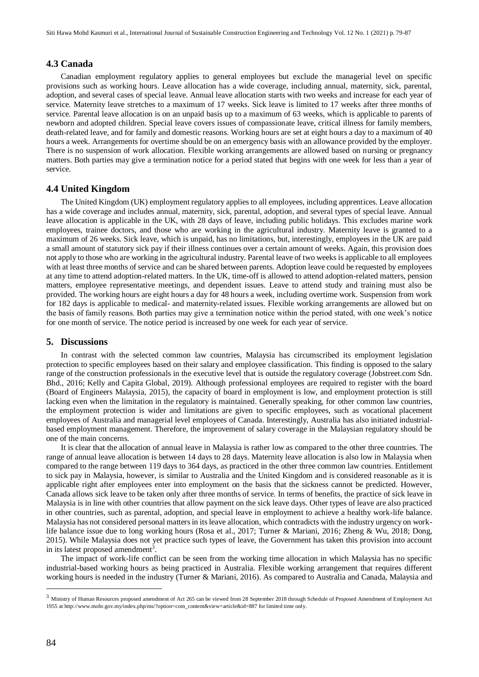## **4.3 Canada**

Canadian employment regulatory applies to general employees but exclude the managerial level on specific provisions such as working hours. Leave allocation has a wide coverage, including annual, maternity, sick, parental, adoption, and several cases of special leave. Annual leave allocation starts with two weeks and increase for each year of service. Maternity leave stretches to a maximum of 17 weeks. Sick leave is limited to 17 weeks after three months of service. Parental leave allocation is on an unpaid basis up to a maximum of 63 weeks, which is applicable to parents of newborn and adopted children. Special leave covers issues of compassionate leave, critical illness for family members, death-related leave, and for family and domestic reasons. Working hours are set at eight hours a day to a maximum of 40 hours a week. Arrangements for overtime should be on an emergency basis with an allowance provided by the employer. There is no suspension of work allocation. Flexible working arrangements are allowed based on nursing or pregnancy matters. Both parties may give a termination notice for a period stated that begins with one week for less than a year of service.

## **4.4 United Kingdom**

The United Kingdom (UK) employment regulatory applies to all employees, including apprentices. Leave allocation has a wide coverage and includes annual, maternity, sick, parental, adoption, and several types of special leave. Annual leave allocation is applicable in the UK, with 28 days of leave, including public holidays. This excludes marine work employees, trainee doctors, and those who are working in the agricultural industry. Maternity leave is granted to a maximum of 26 weeks. Sick leave, which is unpaid, has no limitations, but, interestingly, employees in the UK are paid a small amount of statutory sick pay if their illness continues over a certain amount of weeks. Again, this provision does not apply to those who are working in the agricultural industry. Parental leave of two weeks is applicable to all employees with at least three months of service and can be shared between parents. Adoption leave could be requested by employees at any time to attend adoption-related matters. In the UK, time-off is allowed to attend adoption-related matters, pension matters, employee representative meetings, and dependent issues. Leave to attend study and training must also be provided. The working hours are eight hours a day for 48 hours a week, including overtime work. Suspension from work for 182 days is applicable to medical- and maternity-related issues. Flexible working arrangements are allowed but on the basis of family reasons. Both parties may give a termination notice within the period stated, with one week's notice for one month of service. The notice period is increased by one week for each year of service.

#### **5. Discussions**

In contrast with the selected common law countries, Malaysia has circumscribed its employment legislation protection to specific employees based on their salary and employee classification. This finding is opposed to the salary range of the construction professionals in the executive level that is outside the regulatory coverage (Jobstreet.com Sdn. Bhd., 2016; Kelly and Capita Global, 2019). Although professional employees are required to register with the board (Board of Engineers Malaysia, 2015), the capacity of board in employment is low, and employment protection is still lacking even when the limitation in the regulatory is maintained. Generally speaking, for other common law countries, the employment protection is wider and limitations are given to specific employees, such as vocational placement employees of Australia and managerial level employees of Canada. Interestingly, Australia has also initiated industrialbased employment management. Therefore, the improvement of salary coverage in the Malaysian regulatory should be one of the main concerns.

It is clear that the allocation of annual leave in Malaysia is rather low as compared to the other three countries. The range of annual leave allocation is between 14 days to 28 days. Maternity leave allocation is also low in Malaysia when compared to the range between 119 days to 364 days, as practiced in the other three common law countries. Entitlement to sick pay in Malaysia, however, is similar to Australia and the United Kingdom and is considered reasonable as it is applicable right after employees enter into employment on the basis that the sickness cannot be predicted. However, Canada allows sick leave to be taken only after three months of service. In terms of benefits, the practice of sick leave in Malaysia is in line with other countries that allow payment on the sick leave days. Other types of leave are also practiced in other countries, such as parental, adoption, and special leave in employment to achieve a healthy work-life balance. Malaysia has not considered personal matters in its leave allocation, which contradicts with the industry urgency on worklife balance issue due to long working hours (Rosa et al., 2017; Turner & Mariani, 2016; Zheng & Wu, 2018; Dong, 2015). While Malaysia does not yet practice such types of leave, the Government has taken this provision into account in its latest proposed amendment<sup>3</sup>.

The impact of work-life conflict can be seen from the working time allocation in which Malaysia has no specific industrial-based working hours as being practiced in Australia. Flexible working arrangement that requires different working hours is needed in the industry (Turner & Mariani, 2016). As compared to Australia and Canada, Malaysia and

 $\overline{a}$ 

<sup>3</sup> Ministry of Human Resources proposed amendment of Act 265 can be viewed from 28 September 2018 through Schedule of Proposed Amendment of Employment Act 1955 at http://www.mohr.gov.my/index.php/ms/?option=com\_content&view=article&id=887 for limited time only.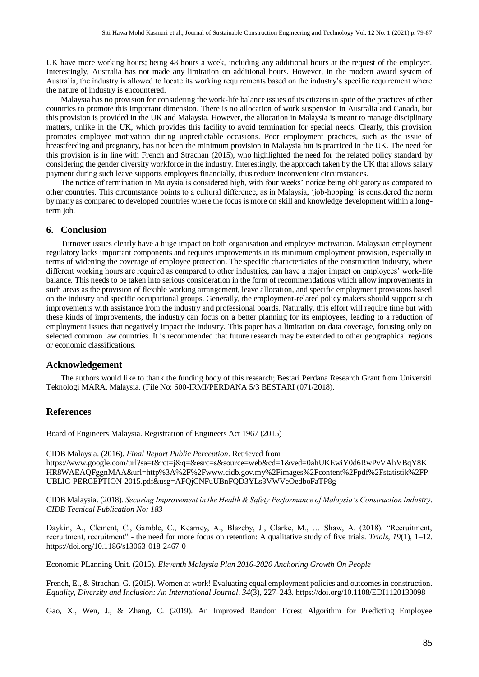UK have more working hours; being 48 hours a week, including any additional hours at the request of the employer. Interestingly, Australia has not made any limitation on additional hours. However, in the modern award system of Australia, the industry is allowed to locate its working requirements based on the industry's specific requirement where the nature of industry is encountered.

Malaysia has no provision for considering the work-life balance issues of its citizens in spite of the practices of other countries to promote this important dimension. There is no allocation of work suspension in Australia and Canada, but this provision is provided in the UK and Malaysia. However, the allocation in Malaysia is meant to manage disciplinary matters, unlike in the UK, which provides this facility to avoid termination for special needs. Clearly, this provision promotes employee motivation during unpredictable occasions. Poor employment practices, such as the issue of breastfeeding and pregnancy, has not been the minimum provision in Malaysia but is practiced in the UK. The need for this provision is in line with French and Strachan (2015), who highlighted the need for the related policy standard by considering the gender diversity workforce in the industry. Interestingly, the approach taken by the UK that allows salary payment during such leave supports employees financially, thus reduce inconvenient circumstances.

The notice of termination in Malaysia is considered high, with four weeks' notice being obligatory as compared to other countries. This circumstance points to a cultural difference, as in Malaysia, 'job-hopping' is considered the norm by many as compared to developed countries where the focus is more on skill and knowledge development within a longterm job.

#### **6. Conclusion**

Turnover issues clearly have a huge impact on both organisation and employee motivation. Malaysian employment regulatory lacks important components and requires improvements in its minimum employment provision, especially in terms of widening the coverage of employee protection. The specific characteristics of the construction industry, where different working hours are required as compared to other industries, can have a major impact on employees' work-life balance. This needs to be taken into serious consideration in the form of recommendations which allow improvements in such areas as the provision of flexible working arrangement, leave allocation, and specific employment provisions based on the industry and specific occupational groups. Generally, the employment-related policy makers should support such improvements with assistance from the industry and professional boards. Naturally, this effort will require time but with these kinds of improvements, the industry can focus on a better planning for its employees, leading to a reduction of employment issues that negatively impact the industry. This paper has a limitation on data coverage, focusing only on selected common law countries. It is recommended that future research may be extended to other geographical regions or economic classifications.

## **Acknowledgement**

The authors would like to thank the funding body of this research; Bestari Perdana Research Grant from Universiti Teknologi MARA, Malaysia. (File No: 600-IRMI/PERDANA 5/3 BESTARI (071/2018).

### **References**

Board of Engineers Malaysia. Registration of Engineers Act 1967 (2015)

CIDB Malaysia. (2016). *Final Report Public Perception*. Retrieved from https://www.google.com/url?sa=t&rct=j&q=&esrc=s&source=web&cd=1&ved=0ahUKEwiY0d6RwPvVAhVBqY8K HR8WAEAQFggnMAA&url=http%3A%2F%2Fwww.cidb.gov.my%2Fimages%2Fcontent%2Fpdf%2Fstatistik%2FP UBLIC-PERCEPTION-2015.pdf&usg=AFQjCNFuUBnFQD3YLs3VWVeOedboFaTP8g

CIDB Malaysia. (2018). *Securing Improvement in the Health & Safety Performance of Malaysia's Construction Industry*. *CIDB Tecnical Publication No: 183*

Daykin, A., Clement, C., Gamble, C., Kearney, A., Blazeby, J., Clarke, M., … Shaw, A. (2018). "Recruitment, recruitment, recruitment" - the need for more focus on retention: A qualitative study of five trials. *Trials*, *19*(1), 1–12. https://doi.org/10.1186/s13063-018-2467-0

Economic PLanning Unit. (2015). *Eleventh Malaysia Plan 2016-2020 Anchoring Growth On People*

French, E., & Strachan, G. (2015). Women at work! Evaluating equal employment policies and outcomes in construction. *Equality, Diversity and Inclusion: An International Journal*, *34*(3), 227–243.<https://doi.org/10.1108/EDI1120130098>

Gao, X., Wen, J., & Zhang, C. (2019). An Improved Random Forest Algorithm for Predicting Employee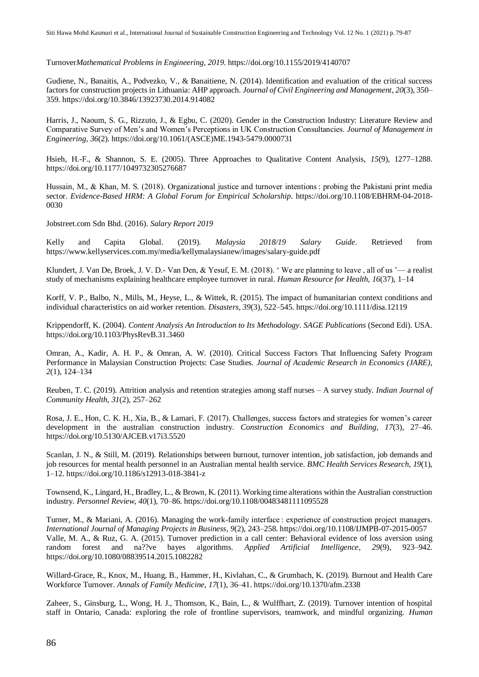Turnover*Mathematical Problems in Engineering*, *2019*. https://doi.org/10.1155/2019/4140707

Gudiene, N., Banaitis, A., Podvezko, V., & Banaitiene, N. (2014). Identification and evaluation of the critical success factors for construction projects in Lithuania: AHP approach. *Journal of Civil Engineering and Management*, *20*(3), 350– 359. https://doi.org/10.3846/13923730.2014.914082

Harris, J., Naoum, S. G., Rizzuto, J., & Egbu, C. (2020). Gender in the Construction Industry: Literature Review and Comparative Survey of Men's and Women's Perceptions in UK Construction Consultancies. *Journal of Management in Engineering*, *36*(2). https://doi.org/10.1061/(ASCE)ME.1943-5479.0000731

Hsieh, H.-F., & Shannon, S. E. (2005). Three Approaches to Qualitative Content Analysis, *15*(9), 1277–1288. https://doi.org/10.1177/1049732305276687

Hussain, M., & Khan, M. S. (2018). Organizational justice and turnover intentions : probing the Pakistani print media sector. *Evidence-Based HRM: A Global Forum for Empirical Scholarship*. https://doi.org/10.1108/EBHRM-04-2018- 0030

Jobstreet.com Sdn Bhd. (2016). *Salary Report 2019*

Kelly and Capita Global. (2019). *Malaysia 2018/19 Salary Guide*. Retrieved from https://www.kellyservices.com.my/media/kellymalaysianew/images/salary-guide.pdf

Klundert, J. Van De, Broek, J. V. D.- Van Den, & Yesuf, E. M. (2018). ' We are planning to leave , all of us '— a realist study of mechanisms explaining healthcare employee turnover in rural. *Human Resource for Health*, *16*(37), 1–14

Korff, V. P., Balbo, N., Mills, M., Heyse, L., & Wittek, R. (2015). The impact of humanitarian context conditions and individual characteristics on aid worker retention. *Disasters*, *39*(3), 522–545. https://doi.org/10.1111/disa.12119

Krippendorff, K. (2004). *Content Analysis An Introduction to Its Methodology*. *SAGE Publications* (Second Edi). USA. https://doi.org/10.1103/PhysRevB.31.3460

Omran, A., Kadir, A. H. P., & Omran, A. W. (2010). Critical Success Factors That Influencing Safety Program Performance in Malaysian Construction Projects: Case Studies. *Journal of Academic Research in Economics (JARE)*, *2*(1), 124–134

Reuben, T. C. (2019). Attrition analysis and retention strategies among staff nurses – A survey study. *Indian Journal of Community Health*, *31*(2), 257–262

Rosa, J. E., Hon, C. K. H., Xia, B., & Lamari, F. (2017). Challenges, success factors and strategies for women's career development in the australian construction industry. *Construction Economics and Building*, *17*(3), 27–46. https://doi.org/10.5130/AJCEB.v17i3.5520

Scanlan, J. N., & Still, M. (2019). Relationships between burnout, turnover intention, job satisfaction, job demands and job resources for mental health personnel in an Australian mental health service. *BMC Health Services Research*, *19*(1), 1–12. https://doi.org/10.1186/s12913-018-3841-z

Townsend, K., Lingard, H., Bradley, L., & Brown, K. (2011). Working time alterations within the Australian construction industry. *Personnel Review*, *40*(1), 70–86. https://doi.org/10.1108/00483481111095528

Turner, M., & Mariani, A. (2016). Managing the work-family interface : experience of construction project managers. *International Journal of Managing Projects in Business*, *9*(2), 243–258. https://doi.org/10.1108/IJMPB-07-2015-0057 Valle, M. A., & Ruz, G. A. (2015). Turnover prediction in a call center: Behavioral evidence of loss aversion using random forest and na??ve bayes algorithms. *Applied Artificial Intelligence*, *29*(9), 923–942. https://doi.org/10.1080/08839514.2015.1082282

Willard-Grace, R., Knox, M., Huang, B., Hammer, H., Kivlahan, C., & Grumbach, K. (2019). Burnout and Health Care Workforce Turnover. *Annals of Family Medicine*, *17*(1), 36–41. https://doi.org/10.1370/afm.2338

Zaheer, S., Ginsburg, L., Wong, H. J., Thomson, K., Bain, L., & Wulffhart, Z. (2019). Turnover intention of hospital staff in Ontario, Canada: exploring the role of frontline supervisors, teamwork, and mindful organizing. *Human*